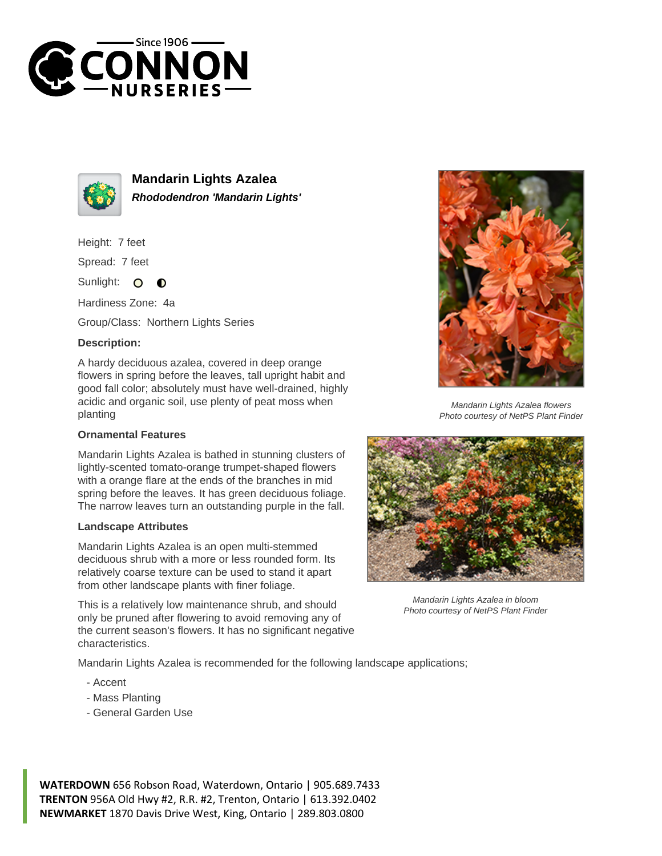



**Mandarin Lights Azalea Rhododendron 'Mandarin Lights'**

Height: 7 feet

Spread: 7 feet

Sunlight:  $\bullet$  $\bullet$ 

Hardiness Zone: 4a

Group/Class: Northern Lights Series

## **Description:**

A hardy deciduous azalea, covered in deep orange flowers in spring before the leaves, tall upright habit and good fall color; absolutely must have well-drained, highly acidic and organic soil, use plenty of peat moss when planting

## **Ornamental Features**

Mandarin Lights Azalea is bathed in stunning clusters of lightly-scented tomato-orange trumpet-shaped flowers with a orange flare at the ends of the branches in mid spring before the leaves. It has green deciduous foliage. The narrow leaves turn an outstanding purple in the fall.

## **Landscape Attributes**

Mandarin Lights Azalea is an open multi-stemmed deciduous shrub with a more or less rounded form. Its relatively coarse texture can be used to stand it apart from other landscape plants with finer foliage.

This is a relatively low maintenance shrub, and should only be pruned after flowering to avoid removing any of the current season's flowers. It has no significant negative characteristics.

Mandarin Lights Azalea is recommended for the following landscape applications;

- Accent
- Mass Planting
- General Garden Use







Mandarin Lights Azalea flowers Photo courtesy of NetPS Plant Finder

**WATERDOWN** 656 Robson Road, Waterdown, Ontario | 905.689.7433 **TRENTON** 956A Old Hwy #2, R.R. #2, Trenton, Ontario | 613.392.0402 **NEWMARKET** 1870 Davis Drive West, King, Ontario | 289.803.0800